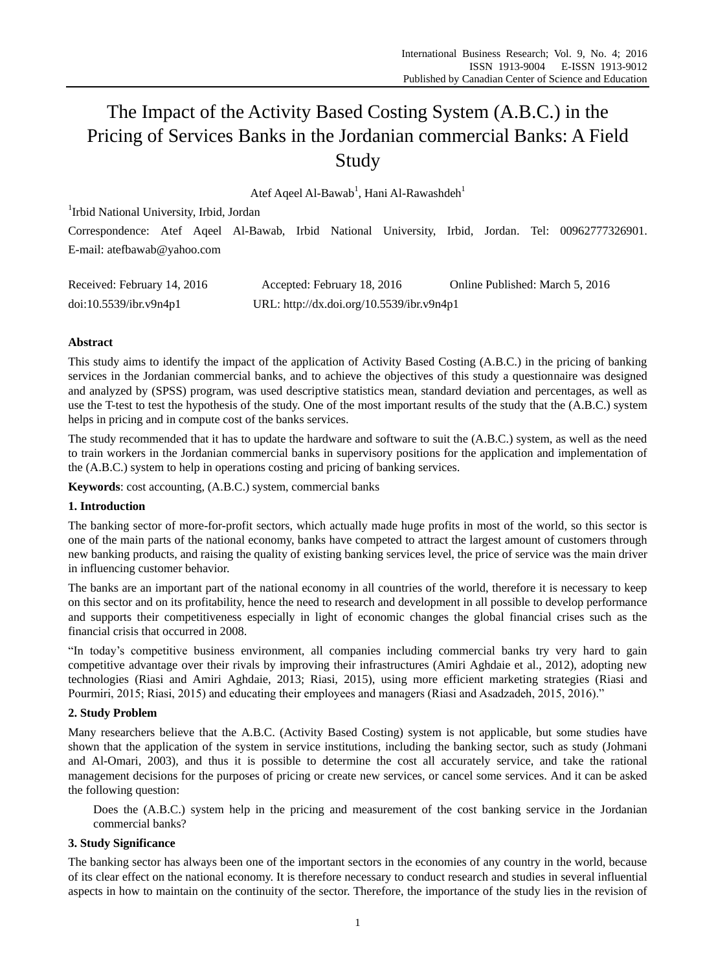# The Impact of the Activity Based Costing System (A.B.C.) in the Pricing of Services Banks in the Jordanian commercial Banks: A Field Study

Atef Aqeel Al-Bawab<sup>1</sup>, Hani Al-Rawashdeh<sup>1</sup>

<sup>1</sup>Irbid National University, Irbid, Jordan

Correspondence: Atef Aqeel Al-Bawab, Irbid National University, Irbid, Jordan. Tel: 00962777326901. E-mail: atefbawab@yahoo.com

| Received: February 14, 2016 | Accepted: February 18, 2016               | Online Published: March 5, 2016 |
|-----------------------------|-------------------------------------------|---------------------------------|
| doi:10.5539/ibr.v9n4p1      | URL: http://dx.doi.org/10.5539/ibr.v9n4p1 |                                 |

## **Abstract**

This study aims to identify the impact of the application of Activity Based Costing (A.B.C.) in the pricing of banking services in the Jordanian commercial banks, and to achieve the objectives of this study a questionnaire was designed and analyzed by (SPSS) program, was used descriptive statistics mean, standard deviation and percentages, as well as use the T-test to test the hypothesis of the study. One of the most important results of the study that the (A.B.C.) system helps in pricing and in compute cost of the banks services.

The study recommended that it has to update the hardware and software to suit the (A.B.C.) system, as well as the need to train workers in the Jordanian commercial banks in supervisory positions for the application and implementation of the (A.B.C.) system to help in operations costing and pricing of banking services.

**Keywords**: cost accounting, (A.B.C.) system, commercial banks

## **1. Introduction**

The banking sector of more-for-profit sectors, which actually made huge profits in most of the world, so this sector is one of the main parts of the national economy, banks have competed to attract the largest amount of customers through new banking products, and raising the quality of existing banking services level, the price of service was the main driver in influencing customer behavior.

The banks are an important part of the national economy in all countries of the world, therefore it is necessary to keep on this sector and on its profitability, hence the need to research and development in all possible to develop performance and supports their competitiveness especially in light of economic changes the global financial crises such as the financial crisis that occurred in 2008.

"In today's competitive business environment, all companies including commercial banks try very hard to gain competitive advantage over their rivals by improving their infrastructures (Amiri Aghdaie et al., 2012), adopting new technologies (Riasi and Amiri Aghdaie, 2013; Riasi, 2015), using more efficient marketing strategies (Riasi and Pourmiri, 2015; Riasi, 2015) and educating their employees and managers (Riasi and Asadzadeh, 2015, 2016)."

## **2. Study Problem**

Many researchers believe that the A.B.C. (Activity Based Costing) system is not applicable, but some studies have shown that the application of the system in service institutions, including the banking sector, such as study (Johmani and Al-Omari, 2003), and thus it is possible to determine the cost all accurately service, and take the rational management decisions for the purposes of pricing or create new services, or cancel some services. And it can be asked the following question:

Does the (A.B.C.) system help in the pricing and measurement of the cost banking service in the Jordanian commercial banks?

# **3. Study Significance**

The banking sector has always been one of the important sectors in the economies of any country in the world, because of its clear effect on the national economy. It is therefore necessary to conduct research and studies in several influential aspects in how to maintain on the continuity of the sector. Therefore, the importance of the study lies in the revision of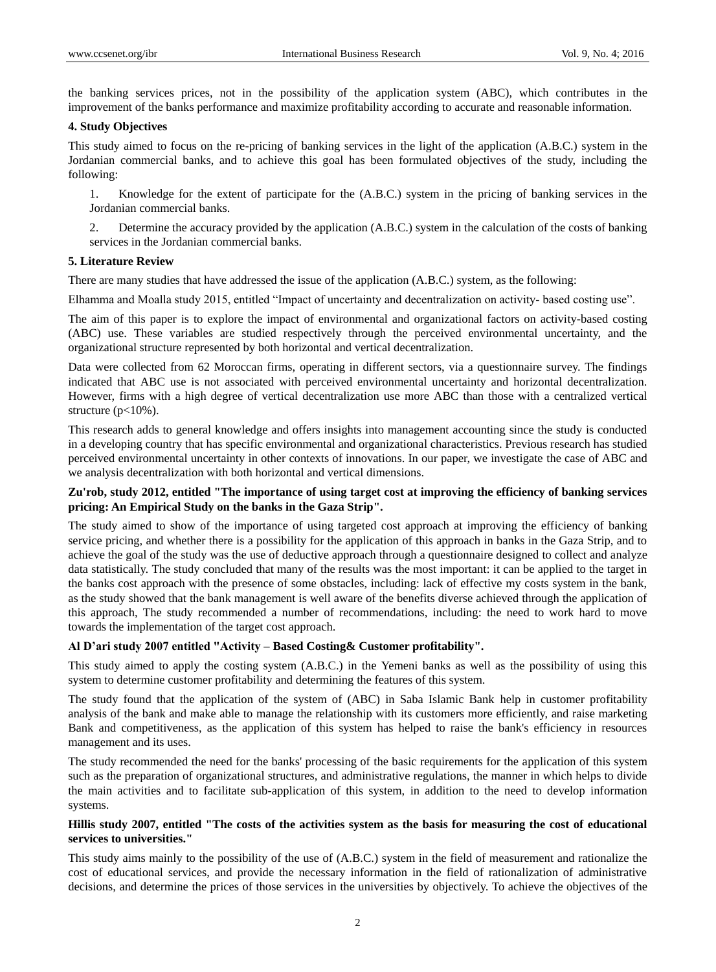the banking services prices, not in the possibility of the application system (ABC), which contributes in the improvement of the banks performance and maximize profitability according to accurate and reasonable information.

## **4. Study Objectives**

This study aimed to focus on the re-pricing of banking services in the light of the application (A.B.C.) system in the Jordanian commercial banks, and to achieve this goal has been formulated objectives of the study, including the following:

1. Knowledge for the extent of participate for the (A.B.C.) system in the pricing of banking services in the Jordanian commercial banks.

2. Determine the accuracy provided by the application (A.B.C.) system in the calculation of the costs of banking services in the Jordanian commercial banks.

## **5. Literature Review**

There are many studies that have addressed the issue of the application (A.B.C.) system, as the following:

Elhamma and Moalla study 2015, entitled "Impact of uncertainty and decentralization on activity- based costing use".

The aim of this paper is to explore the impact of environmental and organizational factors on activity-based costing (ABC) use. These variables are studied respectively through the perceived environmental uncertainty, and the organizational structure represented by both horizontal and vertical decentralization.

Data were collected from 62 Moroccan firms, operating in different sectors, via a questionnaire survey. The findings indicated that ABC use is not associated with perceived environmental uncertainty and horizontal decentralization. However, firms with a high degree of vertical decentralization use more ABC than those with a centralized vertical structure  $(p<10\%)$ .

This research adds to general knowledge and offers insights into management accounting since the study is conducted in a developing country that has specific environmental and organizational characteristics. Previous research has studied perceived environmental uncertainty in other contexts of innovations. In our paper, we investigate the case of ABC and we analysis decentralization with both horizontal and vertical dimensions.

# **Zu'rob, study 2012, entitled "The importance of using target cost at improving the efficiency of banking services pricing: An Empirical Study on the banks in the Gaza Strip".**

The study aimed to show of the importance of using targeted cost approach at improving the efficiency of banking service pricing, and whether there is a possibility for the application of this approach in banks in the Gaza Strip, and to achieve the goal of the study was the use of deductive approach through a questionnaire designed to collect and analyze data statistically. The study concluded that many of the results was the most important: it can be applied to the target in the banks cost approach with the presence of some obstacles, including: lack of effective my costs system in the bank, as the study showed that the bank management is well aware of the benefits diverse achieved through the application of this approach, The study recommended a number of recommendations, including: the need to work hard to move towards the implementation of the target cost approach.

# **Al D'ari study 2007 entitled "Activity – Based Costing& Customer profitability".**

This study aimed to apply the costing system (A.B.C.) in the Yemeni banks as well as the possibility of using this system to determine customer profitability and determining the features of this system.

The study found that the application of the system of (ABC) in Saba Islamic Bank help in customer profitability analysis of the bank and make able to manage the relationship with its customers more efficiently, and raise marketing Bank and competitiveness, as the application of this system has helped to raise the bank's efficiency in resources management and its uses.

The study recommended the need for the banks' processing of the basic requirements for the application of this system such as the preparation of organizational structures, and administrative regulations, the manner in which helps to divide the main activities and to facilitate sub-application of this system, in addition to the need to develop information systems.

## **Hillis study 2007, entitled "The costs of the activities system as the basis for measuring the cost of educational services to universities."**

This study aims mainly to the possibility of the use of (A.B.C.) system in the field of measurement and rationalize the cost of educational services, and provide the necessary information in the field of rationalization of administrative decisions, and determine the prices of those services in the universities by objectively. To achieve the objectives of the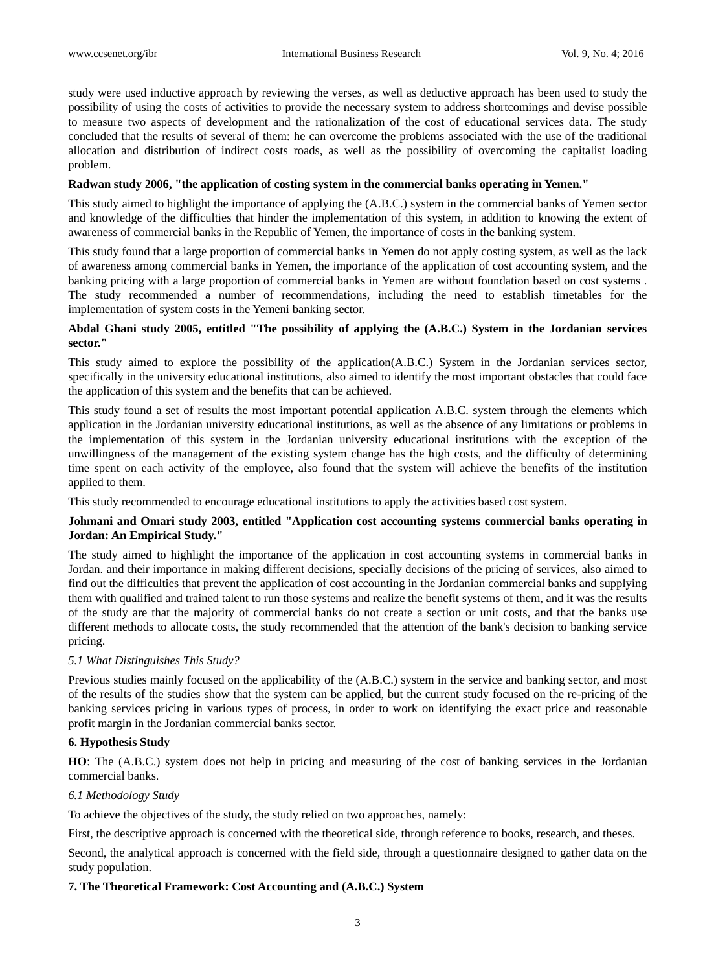study were used inductive approach by reviewing the verses, as well as deductive approach has been used to study the possibility of using the costs of activities to provide the necessary system to address shortcomings and devise possible to measure two aspects of development and the rationalization of the cost of educational services data. The study concluded that the results of several of them: he can overcome the problems associated with the use of the traditional allocation and distribution of indirect costs roads, as well as the possibility of overcoming the capitalist loading problem.

#### **Radwan study 2006, "the application of costing system in the commercial banks operating in Yemen."**

This study aimed to highlight the importance of applying the (A.B.C.) system in the commercial banks of Yemen sector and knowledge of the difficulties that hinder the implementation of this system, in addition to knowing the extent of awareness of commercial banks in the Republic of Yemen, the importance of costs in the banking system.

This study found that a large proportion of commercial banks in Yemen do not apply costing system, as well as the lack of awareness among commercial banks in Yemen, the importance of the application of cost accounting system, and the banking pricing with a large proportion of commercial banks in Yemen are without foundation based on cost systems . The study recommended a number of recommendations, including the need to establish timetables for the implementation of system costs in the Yemeni banking sector.

# **Abdal Ghani study 2005, entitled "The possibility of applying the (A.B.C.) System in the Jordanian services sector."**

This study aimed to explore the possibility of the application(A.B.C.) System in the Jordanian services sector, specifically in the university educational institutions, also aimed to identify the most important obstacles that could face the application of this system and the benefits that can be achieved.

This study found a set of results the most important potential application A.B.C. system through the elements which application in the Jordanian university educational institutions, as well as the absence of any limitations or problems in the implementation of this system in the Jordanian university educational institutions with the exception of the unwillingness of the management of the existing system change has the high costs, and the difficulty of determining time spent on each activity of the employee, also found that the system will achieve the benefits of the institution applied to them.

This study recommended to encourage educational institutions to apply the activities based cost system.

## **Johmani and Omari study 2003, entitled "Application cost accounting systems commercial banks operating in Jordan: An Empirical Study."**

The study aimed to highlight the importance of the application in cost accounting systems in commercial banks in Jordan. and their importance in making different decisions, specially decisions of the pricing of services, also aimed to find out the difficulties that prevent the application of cost accounting in the Jordanian commercial banks and supplying them with qualified and trained talent to run those systems and realize the benefit systems of them, and it was the results of the study are that the majority of commercial banks do not create a section or unit costs, and that the banks use different methods to allocate costs, the study recommended that the attention of the bank's decision to banking service pricing.

## *5.1 What Distinguishes This Study?*

Previous studies mainly focused on the applicability of the (A.B.C.) system in the service and banking sector, and most of the results of the studies show that the system can be applied, but the current study focused on the re-pricing of the banking services pricing in various types of process, in order to work on identifying the exact price and reasonable profit margin in the Jordanian commercial banks sector.

## **6. Hypothesis Study**

**HO**: The (A.B.C.) system does not help in pricing and measuring of the cost of banking services in the Jordanian commercial banks.

#### *6.1 Methodology Study*

To achieve the objectives of the study, the study relied on two approaches, namely:

First, the descriptive approach is concerned with the theoretical side, through reference to books, research, and theses.

Second, the analytical approach is concerned with the field side, through a questionnaire designed to gather data on the study population.

#### **7. The Theoretical Framework: Cost Accounting and (A.B.C.) System**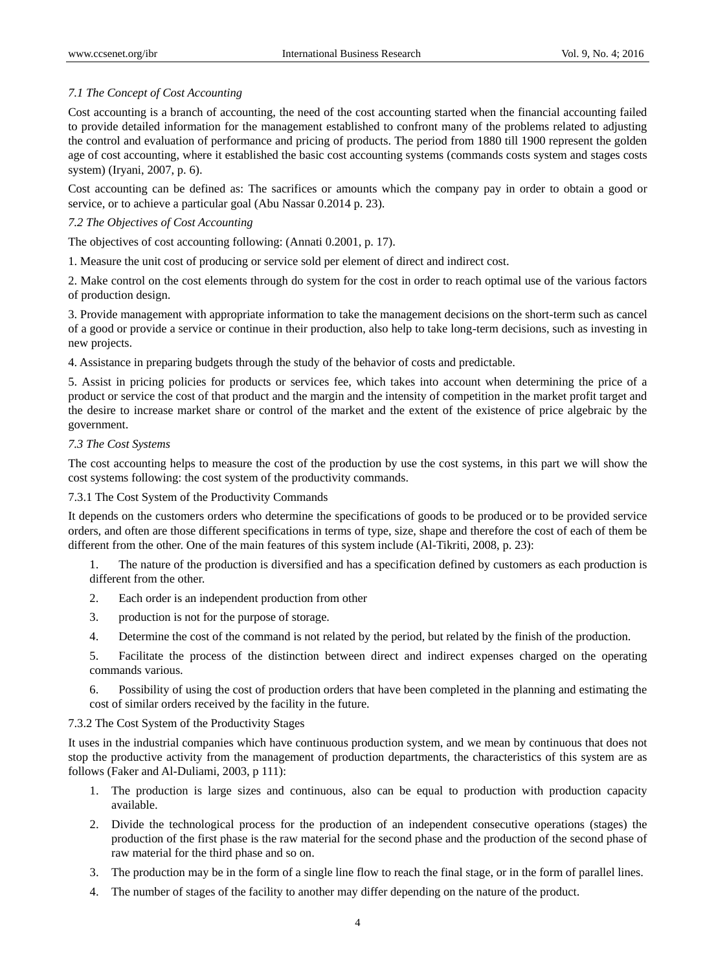## *7.1 The Concept of Cost Accounting*

Cost accounting is a branch of accounting, the need of the cost accounting started when the financial accounting failed to provide detailed information for the management established to confront many of the problems related to adjusting the control and evaluation of performance and pricing of products. The period from 1880 till 1900 represent the golden age of cost accounting, where it established the basic cost accounting systems (commands costs system and stages costs system) (Iryani, 2007, p. 6).

Cost accounting can be defined as: The sacrifices or amounts which the company pay in order to obtain a good or service, or to achieve a particular goal (Abu Nassar 0.2014 p. 23).

## *7.2 The Objectives of Cost Accounting*

The objectives of cost accounting following: (Annati 0.2001, p. 17).

1. Measure the unit cost of producing or service sold per element of direct and indirect cost.

2. Make control on the cost elements through do system for the cost in order to reach optimal use of the various factors of production design.

3. Provide management with appropriate information to take the management decisions on the short-term such as cancel of a good or provide a service or continue in their production, also help to take long-term decisions, such as investing in new projects.

4. Assistance in preparing budgets through the study of the behavior of costs and predictable.

5. Assist in pricing policies for products or services fee, which takes into account when determining the price of a product or service the cost of that product and the margin and the intensity of competition in the market profit target and the desire to increase market share or control of the market and the extent of the existence of price algebraic by the government.

#### *7.3 The Cost Systems*

The cost accounting helps to measure the cost of the production by use the cost systems, in this part we will show the cost systems following: the cost system of the productivity commands.

## 7.3.1 The Cost System of the Productivity Commands

It depends on the customers orders who determine the specifications of goods to be produced or to be provided service orders, and often are those different specifications in terms of type, size, shape and therefore the cost of each of them be different from the other. One of the main features of this system include (Al-Tikriti, 2008, p. 23):

1. The nature of the production is diversified and has a specification defined by customers as each production is different from the other.

- 2. Each order is an independent production from other
- 3. production is not for the purpose of storage.
- 4. Determine the cost of the command is not related by the period, but related by the finish of the production.

5. Facilitate the process of the distinction between direct and indirect expenses charged on the operating commands various.

6. Possibility of using the cost of production orders that have been completed in the planning and estimating the cost of similar orders received by the facility in the future.

#### 7.3.2 The Cost System of the Productivity Stages

It uses in the industrial companies which have continuous production system, and we mean by continuous that does not stop the productive activity from the management of production departments, the characteristics of this system are as follows (Faker and Al-Duliami, 2003, p 111):

- 1. The production is large sizes and continuous, also can be equal to production with production capacity available.
- 2. Divide the technological process for the production of an independent consecutive operations (stages) the production of the first phase is the raw material for the second phase and the production of the second phase of raw material for the third phase and so on.
- 3. The production may be in the form of a single line flow to reach the final stage, or in the form of parallel lines.
- 4. The number of stages of the facility to another may differ depending on the nature of the product.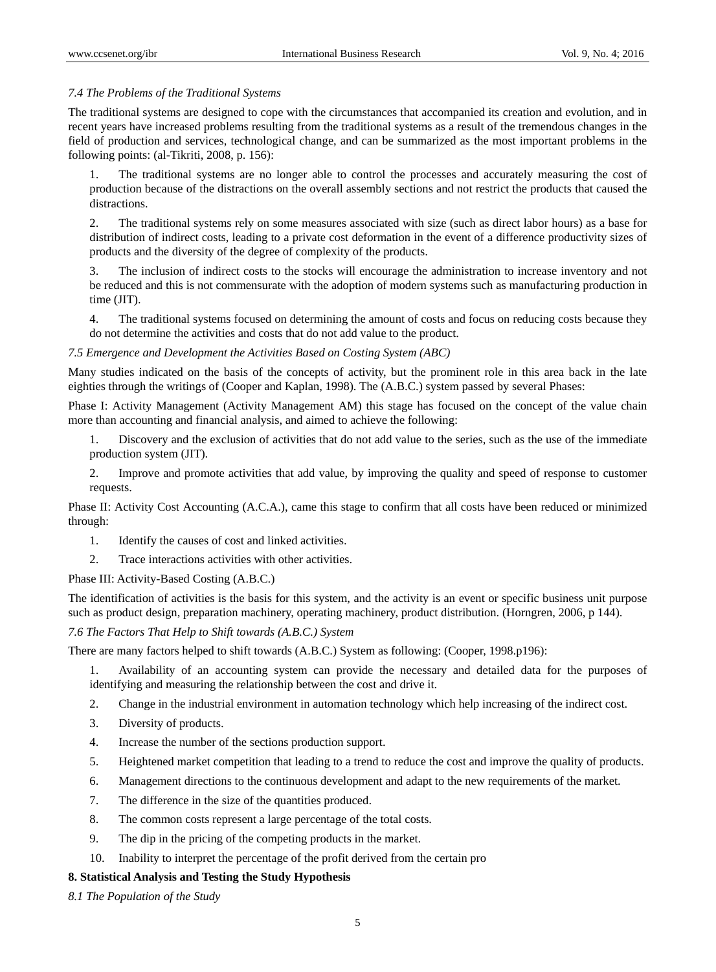## *7.4 The Problems of the Traditional Systems*

The traditional systems are designed to cope with the circumstances that accompanied its creation and evolution, and in recent years have increased problems resulting from the traditional systems as a result of the tremendous changes in the field of production and services, technological change, and can be summarized as the most important problems in the following points: (al-Tikriti, 2008, p. 156):

1. The traditional systems are no longer able to control the processes and accurately measuring the cost of production because of the distractions on the overall assembly sections and not restrict the products that caused the distractions.

2. The traditional systems rely on some measures associated with size (such as direct labor hours) as a base for distribution of indirect costs, leading to a private cost deformation in the event of a difference productivity sizes of products and the diversity of the degree of complexity of the products.

3. The inclusion of indirect costs to the stocks will encourage the administration to increase inventory and not be reduced and this is not commensurate with the adoption of modern systems such as manufacturing production in time (JIT).

4. The traditional systems focused on determining the amount of costs and focus on reducing costs because they do not determine the activities and costs that do not add value to the product.

#### *7.5 Emergence and Development the Activities Based on Costing System (ABC)*

Many studies indicated on the basis of the concepts of activity, but the prominent role in this area back in the late eighties through the writings of (Cooper and Kaplan, 1998). The (A.B.C.) system passed by several Phases:

Phase I: Activity Management (Activity Management AM) this stage has focused on the concept of the value chain more than accounting and financial analysis, and aimed to achieve the following:

1. Discovery and the exclusion of activities that do not add value to the series, such as the use of the immediate production system (JIT).

2. Improve and promote activities that add value, by improving the quality and speed of response to customer requests.

Phase II: Activity Cost Accounting (A.C.A.), came this stage to confirm that all costs have been reduced or minimized through:

- 1. Identify the causes of cost and linked activities.
- 2. Trace interactions activities with other activities.

Phase III: Activity-Based Costing (A.B.C.)

The identification of activities is the basis for this system, and the activity is an event or specific business unit purpose such as product design, preparation machinery, operating machinery, product distribution. (Horngren, 2006, p 144).

*7.6 The Factors That Help to Shift towards (A.B.C.) System*

There are many factors helped to shift towards (A.B.C.) System as following: (Cooper, 1998.p196):

1. Availability of an accounting system can provide the necessary and detailed data for the purposes of identifying and measuring the relationship between the cost and drive it.

- 2. Change in the industrial environment in automation technology which help increasing of the indirect cost.
- 3. Diversity of products.
- 4. Increase the number of the sections production support.
- 5. Heightened market competition that leading to a trend to reduce the cost and improve the quality of products.
- 6. Management directions to the continuous development and adapt to the new requirements of the market.
- 7. The difference in the size of the quantities produced.
- 8. The common costs represent a large percentage of the total costs.
- 9. The dip in the pricing of the competing products in the market.
- 10. Inability to interpret the percentage of the profit derived from the certain pro

## **8. Statistical Analysis and Testing the Study Hypothesis**

*8.1 The Population of the Study*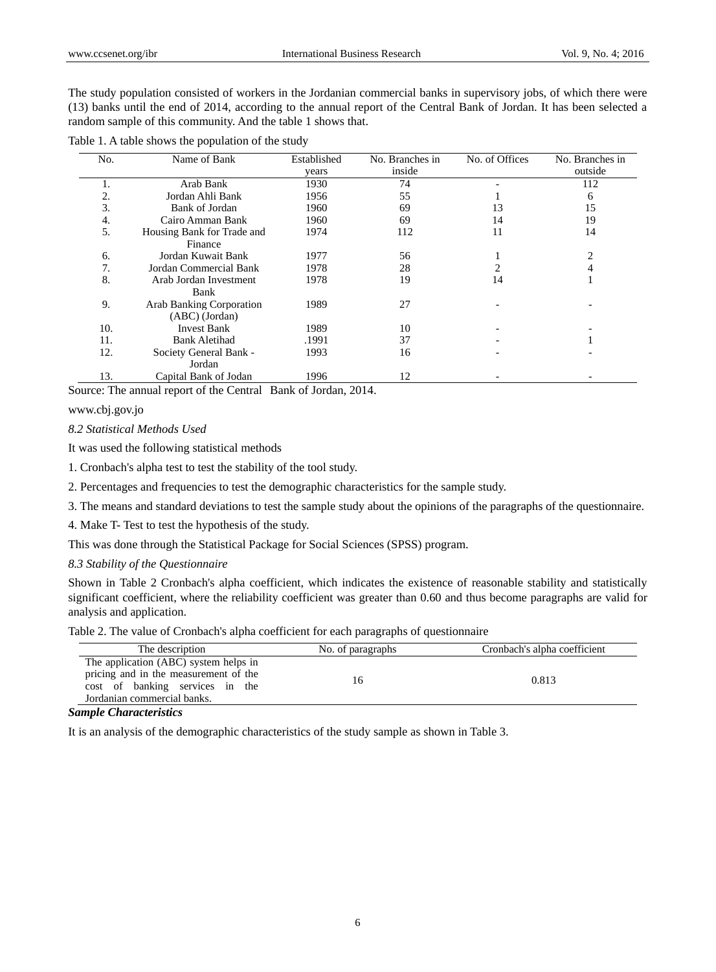The study population consisted of workers in the Jordanian commercial banks in supervisory jobs, of which there were (13) banks until the end of 2014, according to the annual report of the Central Bank of Jordan. It has been selected a random sample of this community. And the table 1 shows that.

Table 1. A table shows the population of the study

| No. | Name of Bank                    | Established | No. Branches in | No. of Offices | No. Branches in |
|-----|---------------------------------|-------------|-----------------|----------------|-----------------|
|     |                                 | vears       | inside          |                | outside         |
| 1.  | Arab Bank                       | 1930        | 74              |                | 112             |
| 2.  | Jordan Ahli Bank                | 1956        | 55              |                | 6               |
| 3.  | Bank of Jordan                  | 1960        | 69              | 13             | 15              |
| 4.  | Cairo Amman Bank                | 1960        | 69              | 14             | 19              |
| 5.  | Housing Bank for Trade and      | 1974        | 112             | 11             | 14              |
|     | Finance                         |             |                 |                |                 |
| 6.  | Jordan Kuwait Bank              | 1977        | 56              |                | $\overline{c}$  |
| 7.  | Jordan Commercial Bank          | 1978        | 28              | 2              | 4               |
| 8.  | Arab Jordan Investment          | 1978        | 19              | 14             |                 |
|     | Bank                            |             |                 |                |                 |
| 9.  | <b>Arab Banking Corporation</b> | 1989        | 27              |                |                 |
|     | $(ABC)$ (Jordan)                |             |                 |                |                 |
| 10. | <b>Invest Bank</b>              | 1989        | 10              |                |                 |
| 11. | <b>Bank Aletihad</b>            | .1991       | 37              |                |                 |
| 12. | Society General Bank -          | 1993        | 16              |                |                 |
|     | Jordan                          |             |                 |                |                 |
| 13. | Capital Bank of Jodan           | 1996        | 12              |                |                 |

Source: The annual report of the Central Bank of Jordan, 2014.

www.cbj.gov.jo

*8.2 Statistical Methods Used*

It was used the following statistical methods

1. Cronbach's alpha test to test the stability of the tool study.

2. Percentages and frequencies to test the demographic characteristics for the sample study.

3. The means and standard deviations to test the sample study about the opinions of the paragraphs of the questionnaire.

4. Make T- Test to test the hypothesis of the study.

This was done through the Statistical Package for Social Sciences (SPSS) program.

*8.3 Stability of the Questionnaire*

Shown in Table 2 Cronbach's alpha coefficient, which indicates the existence of reasonable stability and statistically significant coefficient, where the reliability coefficient was greater than 0.60 and thus become paragraphs are valid for analysis and application.

Table 2. The value of Cronbach's alpha coefficient for each paragraphs of questionnaire

| The description                                                                                                                                  | No. of paragraphs | Cronbach's alpha coefficient |
|--------------------------------------------------------------------------------------------------------------------------------------------------|-------------------|------------------------------|
| The application (ABC) system helps in<br>pricing and in the measurement of the<br>cost of banking services in the<br>Jordanian commercial banks. | Iб                | 0.813                        |

*Sample Characteristics*

It is an analysis of the demographic characteristics of the study sample as shown in Table 3.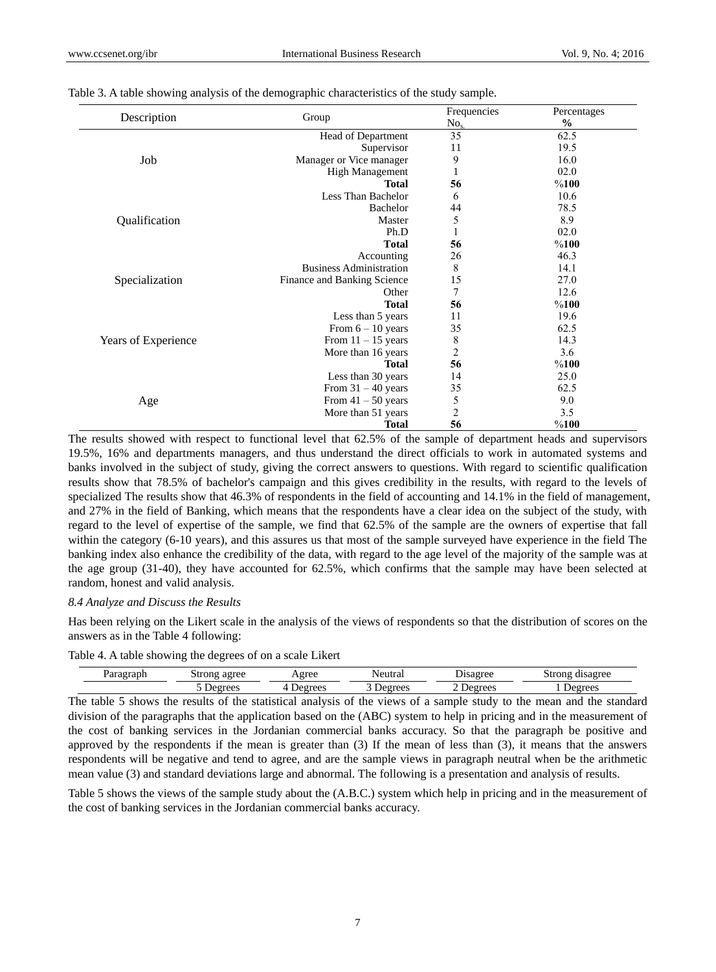|                     |                                | Frequencies     | Percentages   |
|---------------------|--------------------------------|-----------------|---------------|
| Description         | Group                          | No <sub>s</sub> | $\frac{0}{0}$ |
|                     | Head of Department             | 35              | 62.5          |
|                     | Supervisor                     | 11              | 19.5          |
| Job                 | Manager or Vice manager        | 9               | 16.0          |
|                     | <b>High Management</b>         | 1               | 02.0          |
|                     | <b>Total</b>                   | 56              | %100          |
|                     | Less Than Bachelor             | 6               | 10.6          |
|                     | Bachelor                       | 44              | 78.5          |
| Qualification       | Master                         | 5               | 8.9           |
|                     | Ph.D                           |                 | 02.0          |
|                     | <b>Total</b>                   | 56              | %100          |
|                     | Accounting                     | 26              | 46.3          |
|                     | <b>Business Administration</b> | 8               | 14.1          |
| Specialization      | Finance and Banking Science    | 15              | 27.0          |
|                     | Other                          | $\overline{7}$  | 12.6          |
|                     | <b>Total</b>                   | 56              | %100          |
|                     | Less than 5 years              | 11              | 19.6          |
|                     | From $6 - 10$ years            | 35              | 62.5          |
| Years of Experience | From $11 - 15$ years           | 8               | 14.3          |
|                     | More than 16 years             | $\overline{c}$  | 3.6           |
|                     | <b>Total</b>                   | 56              | %100          |
|                     | Less than 30 years             | 14              | 25.0          |
|                     | From $31 - 40$ years           | 35              | 62.5          |
| Age                 | From $41 - 50$ years           | 5               | 9.0           |
|                     | More than 51 years             | $\overline{c}$  | 3.5           |
|                     | <b>Total</b>                   | 56              | %100          |

#### Table 3. A table showing analysis of the demographic characteristics of the study sample.

The results showed with respect to functional level that 62.5% of the sample of department heads and supervisors 19.5%, 16% and departments managers, and thus understand the direct officials to work in automated systems and banks involved in the subject of study, giving the correct answers to questions. With regard to scientific qualification results show that 78.5% of bachelor's campaign and this gives credibility in the results, with regard to the levels of specialized The results show that 46.3% of respondents in the field of accounting and 14.1% in the field of management, and 27% in the field of Banking, which means that the respondents have a clear idea on the subject of the study, with regard to the level of expertise of the sample, we find that 62.5% of the sample are the owners of expertise that fall within the category (6-10 years), and this assures us that most of the sample surveyed have experience in the field The banking index also enhance the credibility of the data, with regard to the age level of the majority of the sample was at the age group (31-40), they have accounted for 62.5%, which confirms that the sample may have been selected at random, honest and valid analysis.

#### *8.4 Analyze and Discuss the Results*

Has been relying on the Likert scale in the analysis of the views of respondents so that the distribution of scores on the answers as in the Table 4 following:

Table 4. A table showing the degrees of on a scale Likert

| $-1$ | วเ<br>----<br>$\epsilon$ | ----<br>___ | ----<br>NA<br>ʻa<br>. | $\sim$ $\sim$ | м   |
|------|--------------------------|-------------|-----------------------|---------------|-----|
|      |                          |             |                       | ື້<br>-       | $-$ |

The table 5 shows the results of the statistical analysis of the views of a sample study to the mean and the standard division of the paragraphs that the application based on the (ABC) system to help in pricing and in the measurement of the cost of banking services in the Jordanian commercial banks accuracy. So that the paragraph be positive and approved by the respondents if the mean is greater than (3) If the mean of less than (3), it means that the answers respondents will be negative and tend to agree, and are the sample views in paragraph neutral when be the arithmetic mean value (3) and standard deviations large and abnormal. The following is a presentation and analysis of results.

Table 5 shows the views of the sample study about the (A.B.C.) system which help in pricing and in the measurement of the cost of banking services in the Jordanian commercial banks accuracy.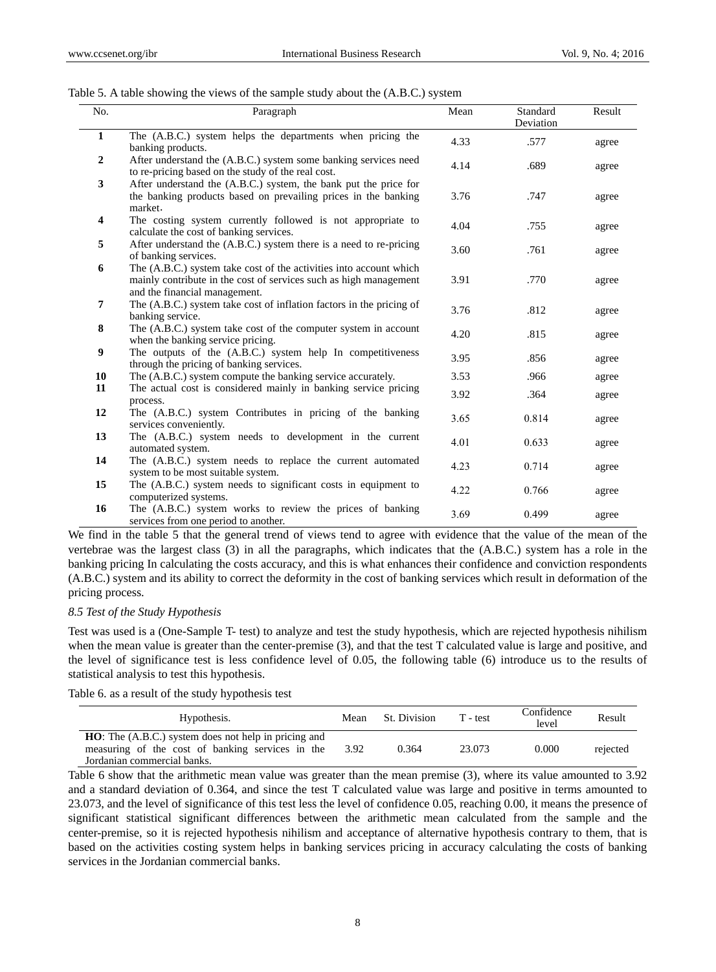| Table 5. A table showing the views of the sample study about the (A.B.C.) system |  |  |
|----------------------------------------------------------------------------------|--|--|
|                                                                                  |  |  |

| No.            | Paragraph                                                                                                                                                                | Mean | Standard<br>Deviation | Result |
|----------------|--------------------------------------------------------------------------------------------------------------------------------------------------------------------------|------|-----------------------|--------|
| 1              | The (A.B.C.) system helps the departments when pricing the<br>banking products.                                                                                          | 4.33 | .577                  | agree  |
| $\overline{2}$ | After understand the (A.B.C.) system some banking services need<br>to re-pricing based on the study of the real cost.                                                    | 4.14 | .689                  | agree  |
| 3              | After understand the (A.B.C.) system, the bank put the price for<br>the banking products based on prevailing prices in the banking<br>market.                            | 3.76 | .747                  | agree  |
| 4              | The costing system currently followed is not appropriate to<br>calculate the cost of banking services.                                                                   | 4.04 | .755                  | agree  |
| 5              | After understand the (A.B.C.) system there is a need to re-pricing<br>of banking services.                                                                               | 3.60 | .761                  | agree  |
| 6              | The (A.B.C.) system take cost of the activities into account which<br>mainly contribute in the cost of services such as high management<br>and the financial management. | 3.91 | .770                  | agree  |
| 7              | The (A.B.C.) system take cost of inflation factors in the pricing of<br>banking service.                                                                                 | 3.76 | .812                  | agree  |
| 8              | The (A.B.C.) system take cost of the computer system in account<br>when the banking service pricing.                                                                     | 4.20 | .815                  | agree  |
| 9              | The outputs of the (A.B.C.) system help In competitiveness<br>through the pricing of banking services.                                                                   | 3.95 | .856                  | agree  |
| 10             | The (A.B.C.) system compute the banking service accurately.                                                                                                              | 3.53 | .966                  | agree  |
| 11             | The actual cost is considered mainly in banking service pricing<br>process.                                                                                              | 3.92 | .364                  | agree  |
| 12             | The (A.B.C.) system Contributes in pricing of the banking<br>services conveniently.                                                                                      | 3.65 | 0.814                 | agree  |
| 13             | The (A.B.C.) system needs to development in the current<br>automated system.                                                                                             | 4.01 | 0.633                 | agree  |
| 14             | The (A.B.C.) system needs to replace the current automated<br>system to be most suitable system.                                                                         | 4.23 | 0.714                 | agree  |
| 15             | The (A.B.C.) system needs to significant costs in equipment to<br>computerized systems.                                                                                  | 4.22 | 0.766                 | agree  |
| 16             | The (A.B.C.) system works to review the prices of banking<br>services from one period to another.                                                                        | 3.69 | 0.499                 | agree  |

We find in the table 5 that the general trend of views tend to agree with evidence that the value of the mean of the vertebrae was the largest class (3) in all the paragraphs, which indicates that the (A.B.C.) system has a role in the banking pricing In calculating the costs accuracy, and this is what enhances their confidence and conviction respondents (A.B.C.) system and its ability to correct the deformity in the cost of banking services which result in deformation of the pricing process.

#### *8.5 Test of the Study Hypothesis*

Test was used is a (One-Sample T- test) to analyze and test the study hypothesis, which are rejected hypothesis nihilism when the mean value is greater than the center-premise (3), and that the test T calculated value is large and positive, and the level of significance test is less confidence level of 0.05, the following table (6) introduce us to the results of statistical analysis to test this hypothesis.

Table 6. as a result of the study hypothesis test

| Hypothesis.                                                                                                                                     | Mean | <b>St.</b> Division | $T - test$ | Confidence<br>level | Result   |
|-------------------------------------------------------------------------------------------------------------------------------------------------|------|---------------------|------------|---------------------|----------|
| <b>HO</b> : The (A.B.C.) system does not help in pricing and<br>measuring of the cost of banking services in the<br>Jordanian commercial banks. | 3.92 | 0.364               | 23.073     | 0.000               | rejected |

Table 6 show that the arithmetic mean value was greater than the mean premise (3), where its value amounted to 3.92 and a standard deviation of 0.364, and since the test T calculated value was large and positive in terms amounted to 23.073, and the level of significance of this test less the level of confidence 0.05, reaching 0.00, it means the presence of significant statistical significant differences between the arithmetic mean calculated from the sample and the center-premise, so it is rejected hypothesis nihilism and acceptance of alternative hypothesis contrary to them, that is based on the activities costing system helps in banking services pricing in accuracy calculating the costs of banking services in the Jordanian commercial banks.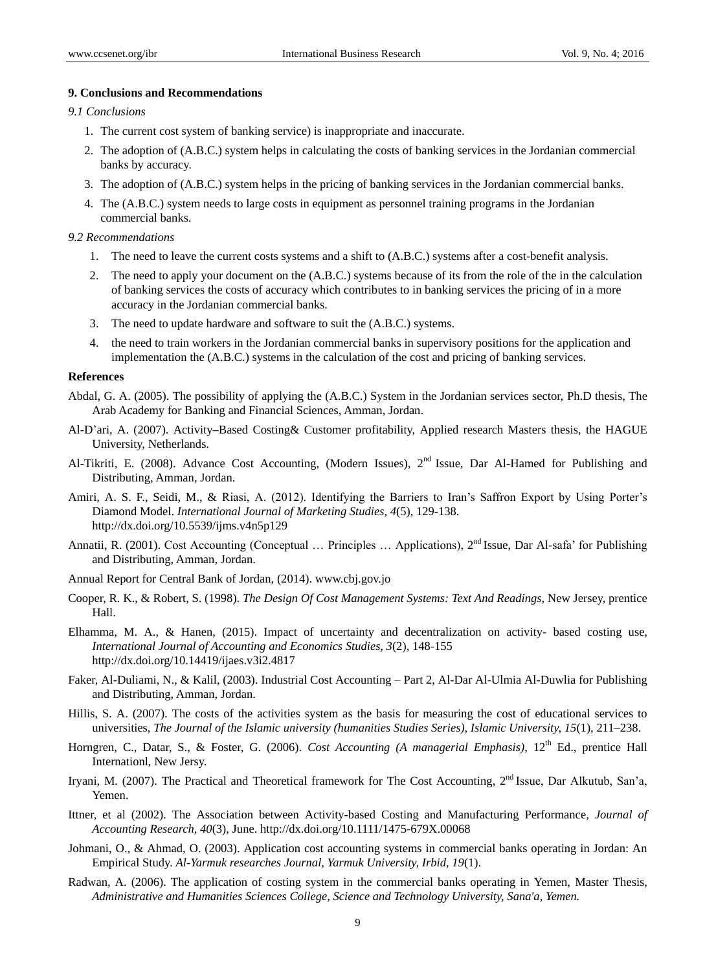#### **9. Conclusions and Recommendations**

## *9.1 Conclusions*

- 1. The current cost system of banking service) is inappropriate and inaccurate.
- 2. The adoption of (A.B.C.) system helps in calculating the costs of banking services in the Jordanian commercial banks by accuracy.
- 3. The adoption of (A.B.C.) system helps in the pricing of banking services in the Jordanian commercial banks.
- 4. The (A.B.C.) system needs to large costs in equipment as personnel training programs in the Jordanian commercial banks.

#### *9.2 Recommendations*

- 1. The need to leave the current costs systems and a shift to (A.B.C.) systems after a cost-benefit analysis.
- 2. The need to apply your document on the (A.B.C.) systems because of its from the role of the in the calculation of banking services the costs of accuracy which contributes to in banking services the pricing of in a more accuracy in the Jordanian commercial banks.
- 3. The need to update hardware and software to suit the (A.B.C.) systems.
- 4. the need to train workers in the Jordanian commercial banks in supervisory positions for the application and implementation the (A.B.C.) systems in the calculation of the cost and pricing of banking services.

#### **References**

- Abdal, G. A. (2005). The possibility of applying the (A.B.C.) System in the Jordanian services sector, Ph.D thesis, The Arab Academy for Banking and Financial Sciences, Amman, Jordan.
- Al-D'ari, A. (2007). Activity**–**Based Costing& Customer profitability, Applied research Masters thesis, the HAGUE University, Netherlands.
- Al-Tikriti, E. (2008). Advance Cost Accounting, (Modern Issues), 2<sup>nd</sup> Issue, Dar Al-Hamed for Publishing and Distributing, Amman, Jordan.
- Amiri, A. S. F., Seidi, M., & Riasi, A. (2012). Identifying the Barriers to Iran's Saffron Export by Using Porter's Diamond Model. *International Journal of Marketing Studies, 4*(5), 129-138. http://dx.doi.org/10.5539/ijms.v4n5p129
- Annatii, R. (2001). Cost Accounting (Conceptual ... Principles ... Applications), 2<sup>nd</sup> Issue, Dar Al-safa' for Publishing and Distributing, Amman, Jordan.
- Annual Report for Central Bank of Jordan, (2014). www.cbj.gov.jo
- Cooper, R. K., & Robert, S. (1998). *The Design Of Cost Management Systems: Text And Readings,* New Jersey, prentice Hall.
- Elhamma, M. A., & Hanen, (2015). Impact of uncertainty and decentralization on activity- based costing use, *International Journal of Accounting and Economics Studies, 3*(2), 148-155 http://dx.doi.org/10.14419/ijaes.v3i2.4817
- Faker, Al-Duliami, N., & Kalil, (2003). Industrial Cost Accounting Part 2, Al-Dar Al-Ulmia Al-Duwlia for Publishing and Distributing, Amman, Jordan.
- Hillis, S. A. (2007). The costs of the activities system as the basis for measuring the cost of educational services to universities, *The Journal of the Islamic university (humanities Studies Series), Islamic University, 15*(1), 211–238.
- Horngren, C., Datar, S., & Foster, G. (2006). *Cost Accounting (A managerial Emphasis)*, 12<sup>th</sup> Ed., prentice Hall Internationl, New Jersy.
- Iryani, M. (2007). The Practical and Theoretical framework for The Cost Accounting, 2<sup>nd</sup> Issue, Dar Alkutub, San'a, Yemen.
- Ittner, et al (2002). The Association between Activity-based Costing and Manufacturing Performance, *Journal of Accounting Research, 40*(3), June. http://dx.doi.org/10.1111/1475-679X.00068
- Johmani, O., & Ahmad, O. (2003). Application cost accounting systems in commercial banks operating in Jordan: An Empirical Study. *Al-Yarmuk researches Journal, Yarmuk University, Irbid, 19*(1).
- Radwan, A. (2006). The application of costing system in the commercial banks operating in Yemen, Master Thesis, *Administrative and Humanities Sciences College, Science and Technology University, Sana'a, Yemen.*